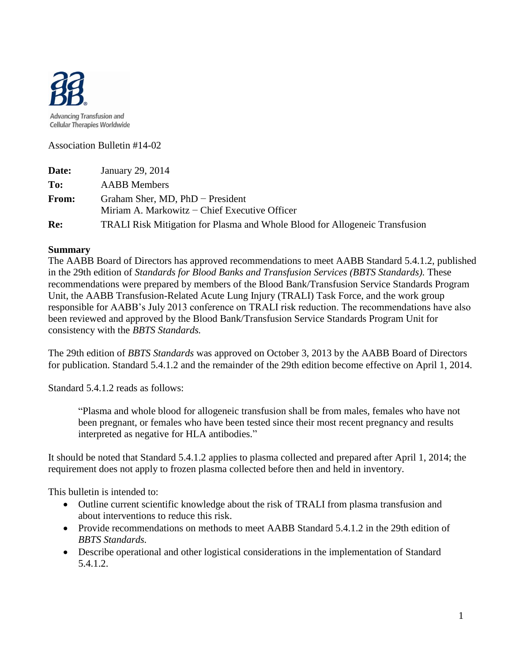

Association Bulletin #14-02

| Date: | January 29, 2014                                                                      |  |  |
|-------|---------------------------------------------------------------------------------------|--|--|
| To:   | <b>AABB</b> Members                                                                   |  |  |
| From: | Graham Sher, MD, $PhD$ – President<br>Miriam A. Markowitz $-$ Chief Executive Officer |  |  |
| Re:   | <b>TRALI Risk Mitigation for Plasma and Whole Blood for Allogeneic Transfusion</b>    |  |  |

#### **Summary**

The AABB Board of Directors has approved recommendations to meet AABB Standard 5.4.1.2, published in the 29th edition of *Standards for Blood Banks and Transfusion Services (BBTS Standards).* These recommendations were prepared by members of the Blood Bank/Transfusion Service Standards Program Unit, the AABB Transfusion-Related Acute Lung Injury (TRALI) Task Force, and the work group responsible for AABB's July 2013 conference on TRALI risk reduction. The recommendations have also been reviewed and approved by the Blood Bank/Transfusion Service Standards Program Unit for consistency with the *BBTS Standards.* 

The 29th edition of *BBTS Standards* was approved on October 3, 2013 by the AABB Board of Directors for publication. Standard 5.4.1.2 and the remainder of the 29th edition become effective on April 1, 2014.

Standard 5.4.1.2 reads as follows:

"Plasma and whole blood for allogeneic transfusion shall be from males, females who have not been pregnant, or females who have been tested since their most recent pregnancy and results interpreted as negative for HLA antibodies."

It should be noted that Standard 5.4.1.2 applies to plasma collected and prepared after April 1, 2014; the requirement does not apply to frozen plasma collected before then and held in inventory.

This bulletin is intended to:

- Outline current scientific knowledge about the risk of TRALI from plasma transfusion and about interventions to reduce this risk.
- Provide recommendations on methods to meet AABB Standard 5.4.1.2 in the 29th edition of *BBTS Standards.*
- Describe operational and other logistical considerations in the implementation of Standard 5.4.1.2.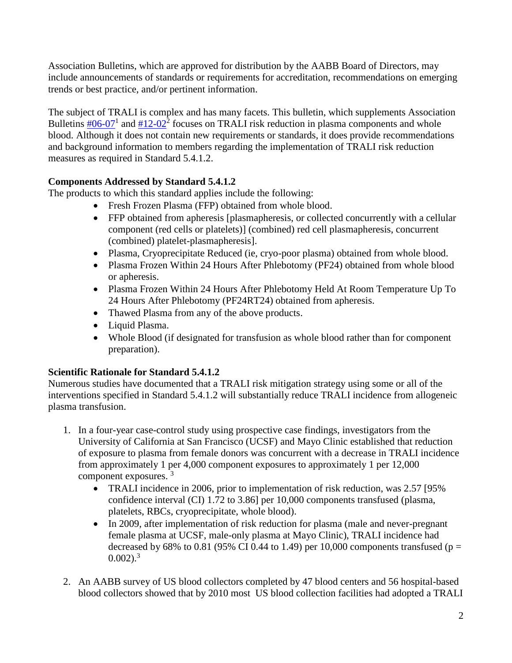Association Bulletins, which are approved for distribution by the AABB Board of Directors, may include announcements of standards or requirements for accreditation, recommendations on emerging trends or best practice, and/or pertinent information.

The subject of TRALI is complex and has many facets. This bulletin, which supplements Association Bulletins  $\frac{\text{#06-07}}{1}$  $\frac{\text{#06-07}}{1}$  $\frac{\text{#06-07}}{1}$  and  $\frac{\text{#12-02}}{2}$  focuses on TRALI risk reduction in plasma components and whole blood. Although it does not contain new requirements or standards, it does provide recommendations and background information to members regarding the implementation of TRALI risk reduction measures as required in Standard 5.4.1.2.

# **Components Addressed by Standard 5.4.1.2**

The products to which this standard applies include the following:

- Fresh Frozen Plasma (FFP) obtained from whole blood.
- FFP obtained from apheresis [plasmapheresis, or collected concurrently with a cellular component (red cells or platelets)] (combined) red cell plasmapheresis, concurrent (combined) platelet-plasmapheresis].
- Plasma, Cryoprecipitate Reduced (ie, cryo-poor plasma) obtained from whole blood.
- Plasma Frozen Within 24 Hours After Phlebotomy (PF24) obtained from whole blood or apheresis.
- Plasma Frozen Within 24 Hours After Phlebotomy Held At Room Temperature Up To 24 Hours After Phlebotomy (PF24RT24) obtained from apheresis.
- Thawed Plasma from any of the above products.
- Liquid Plasma.
- Whole Blood (if designated for transfusion as whole blood rather than for component preparation).

# **Scientific Rationale for Standard 5.4.1.2**

Numerous studies have documented that a TRALI risk mitigation strategy using some or all of the interventions specified in Standard 5.4.1.2 will substantially reduce TRALI incidence from allogeneic plasma transfusion.

- 1. In a four-year case-control study using prospective case findings, investigators from the University of California at San Francisco (UCSF) and Mayo Clinic established that reduction of exposure to plasma from female donors was concurrent with a decrease in TRALI incidence from approximately 1 per 4,000 component exposures to approximately 1 per 12,000 component exposures.<sup>3</sup>
	- TRALI incidence in 2006, prior to implementation of risk reduction, was 2.57 [95%] confidence interval (CI) 1.72 to 3.86] per 10,000 components transfused (plasma, platelets, RBCs, cryoprecipitate, whole blood).
	- In 2009, after implementation of risk reduction for plasma (male and never-pregnant female plasma at UCSF, male-only plasma at Mayo Clinic), TRALI incidence had decreased by 68% to 0.81 (95% CI 0.44 to 1.49) per 10,000 components transfused ( $p =$  $0.002$ ).<sup>3</sup>
- 2. An AABB survey of US blood collectors completed by 47 blood centers and 56 hospital-based blood collectors showed that by 2010 most US blood collection facilities had adopted a TRALI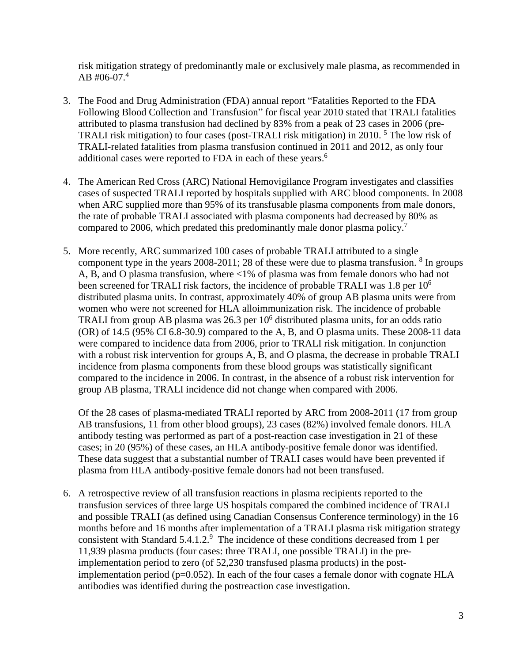risk mitigation strategy of predominantly male or exclusively male plasma, as recommended in AB #06-07. 4

- 3. The Food and Drug Administration (FDA) annual report "Fatalities Reported to the FDA Following Blood Collection and Transfusion" for fiscal year 2010 stated that TRALI fatalities attributed to plasma transfusion had declined by 83% from a peak of 23 cases in 2006 (pre-TRALI risk mitigation) to four cases (post-TRALI risk mitigation) in 2010.<sup>5</sup> The low risk of TRALI-related fatalities from plasma transfusion continued in 2011 and 2012, as only four additional cases were reported to FDA in each of these years. 6
- 4. The American Red Cross (ARC) National Hemovigilance Program investigates and classifies cases of suspected TRALI reported by hospitals supplied with ARC blood components. In 2008 when ARC supplied more than 95% of its transfusable plasma components from male donors, the rate of probable TRALI associated with plasma components had decreased by 80% as compared to 2006, which predated this predominantly male donor plasma policy.<sup>7</sup>
- 5. More recently, ARC summarized 100 cases of probable TRALI attributed to a single component type in the years 2008-2011; 28 of these were due to plasma transfusion.  $8 \text{ In groups}$ A, B, and O plasma transfusion, where <1% of plasma was from female donors who had not been screened for TRALI risk factors, the incidence of probable TRALI was 1.8 per 10<sup>6</sup> distributed plasma units. In contrast, approximately 40% of group AB plasma units were from women who were not screened for HLA alloimmunization risk. The incidence of probable TRALI from group AB plasma was 26.3 per  $10<sup>6</sup>$  distributed plasma units, for an odds ratio (OR) of 14.5 (95% CI 6.8-30.9) compared to the A, B, and O plasma units. These 2008-11 data were compared to incidence data from 2006, prior to TRALI risk mitigation. In conjunction with a robust risk intervention for groups A, B, and O plasma, the decrease in probable TRALI incidence from plasma components from these blood groups was statistically significant compared to the incidence in 2006. In contrast, in the absence of a robust risk intervention for group AB plasma, TRALI incidence did not change when compared with 2006.

Of the 28 cases of plasma-mediated TRALI reported by ARC from 2008-2011 (17 from group AB transfusions, 11 from other blood groups), 23 cases (82%) involved female donors. HLA antibody testing was performed as part of a post-reaction case investigation in 21 of these cases; in 20 (95%) of these cases, an HLA antibody-positive female donor was identified. These data suggest that a substantial number of TRALI cases would have been prevented if plasma from HLA antibody-positive female donors had not been transfused.

6. A retrospective review of all transfusion reactions in plasma recipients reported to the transfusion services of three large US hospitals compared the combined incidence of TRALI and possible TRALI (as defined using Canadian Consensus Conference terminology) in the 16 months before and 16 months after implementation of a TRALI plasma risk mitigation strategy consistent with Standard 5.4.1.2. <sup>9</sup> The incidence of these conditions decreased from 1 per 11,939 plasma products (four cases: three TRALI, one possible TRALI) in the preimplementation period to zero (of 52,230 transfused plasma products) in the postimplementation period ( $p=0.052$ ). In each of the four cases a female donor with cognate HLA antibodies was identified during the postreaction case investigation.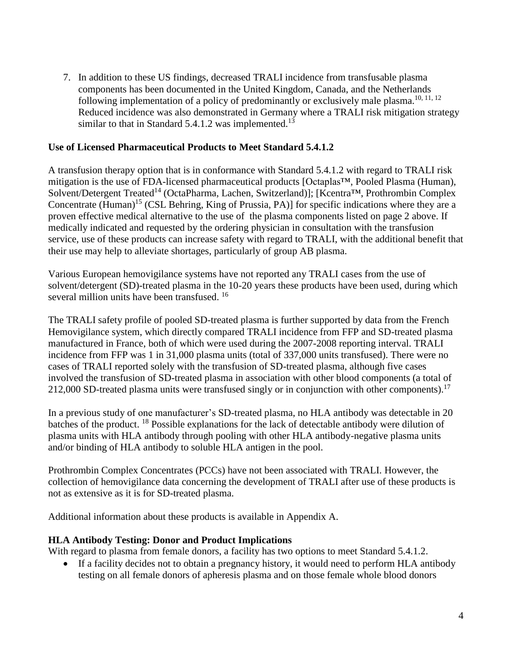7. In addition to these US findings, decreased TRALI incidence from transfusable plasma components has been documented in the United Kingdom, Canada, and the Netherlands following implementation of a policy of predominantly or exclusively male plasma.<sup>10, 11, 12</sup> Reduced incidence was also demonstrated in Germany where a TRALI risk mitigation strategy similar to that in Standard  $5.4.1.2$  was implemented.<sup>13</sup>

#### **Use of Licensed Pharmaceutical Products to Meet Standard 5.4.1.2**

A transfusion therapy option that is in conformance with Standard 5.4.1.2 with regard to TRALI risk mitigation is the use of FDA-licensed pharmaceutical products [Octaplas™, Pooled Plasma (Human), Solvent/Detergent Treated<sup>14</sup> (OctaPharma, Lachen, Switzerland)]; [Kcentra™, Prothrombin Complex Concentrate (Human)<sup>15</sup> (CSL Behring, King of Prussia, PA)] for specific indications where they are a proven effective medical alternative to the use of the plasma components listed on page 2 above. If medically indicated and requested by the ordering physician in consultation with the transfusion service, use of these products can increase safety with regard to TRALI, with the additional benefit that their use may help to alleviate shortages, particularly of group AB plasma.

Various European hemovigilance systems have not reported any TRALI cases from the use of solvent/detergent (SD)-treated plasma in the 10-20 years these products have been used, during which several million units have been transfused. <sup>16</sup>

The TRALI safety profile of pooled SD-treated plasma is further supported by data from the French Hemovigilance system, which directly compared TRALI incidence from FFP and SD-treated plasma manufactured in France, both of which were used during the 2007-2008 reporting interval. TRALI incidence from FFP was 1 in 31,000 plasma units (total of 337,000 units transfused). There were no cases of TRALI reported solely with the transfusion of SD-treated plasma, although five cases involved the transfusion of SD-treated plasma in association with other blood components (a total of 212,000 SD-treated plasma units were transfused singly or in conjunction with other components).<sup>17</sup>

In a previous study of one manufacturer's SD-treated plasma, no HLA antibody was detectable in 20 batches of the product. <sup>18</sup> Possible explanations for the lack of detectable antibody were dilution of plasma units with HLA antibody through pooling with other HLA antibody-negative plasma units and/or binding of HLA antibody to soluble HLA antigen in the pool.

Prothrombin Complex Concentrates (PCCs) have not been associated with TRALI. However, the collection of hemovigilance data concerning the development of TRALI after use of these products is not as extensive as it is for SD-treated plasma.

Additional information about these products is available in Appendix A.

## **HLA Antibody Testing: Donor and Product Implications**

With regard to plasma from female donors, a facility has two options to meet Standard 5.4.1.2.

• If a facility decides not to obtain a pregnancy history, it would need to perform HLA antibody testing on all female donors of apheresis plasma and on those female whole blood donors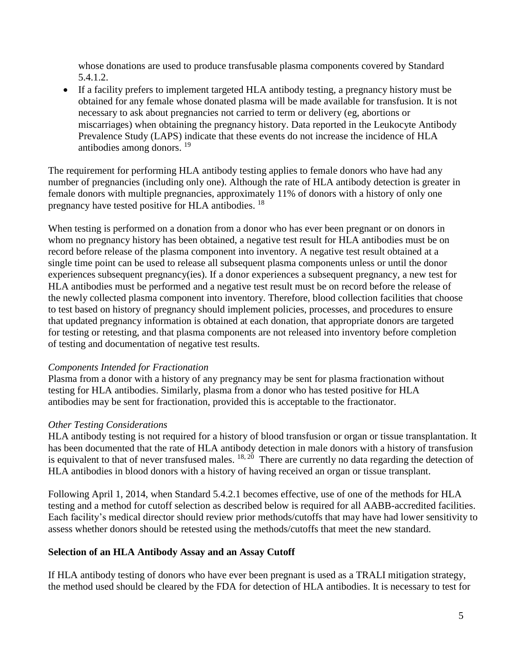whose donations are used to produce transfusable plasma components covered by Standard 5.4.1.2.

 If a facility prefers to implement targeted HLA antibody testing, a pregnancy history must be obtained for any female whose donated plasma will be made available for transfusion. It is not necessary to ask about pregnancies not carried to term or delivery (eg, abortions or miscarriages) when obtaining the pregnancy history. Data reported in the Leukocyte Antibody Prevalence Study (LAPS) indicate that these events do not increase the incidence of HLA antibodies among donors. 19

The requirement for performing HLA antibody testing applies to female donors who have had any number of pregnancies (including only one). Although the rate of HLA antibody detection is greater in female donors with multiple pregnancies, approximately 11% of donors with a history of only one pregnancy have tested positive for HLA antibodies. <sup>18</sup>

When testing is performed on a donation from a donor who has ever been pregnant or on donors in whom no pregnancy history has been obtained, a negative test result for HLA antibodies must be on record before release of the plasma component into inventory. A negative test result obtained at a single time point can be used to release all subsequent plasma components unless or until the donor experiences subsequent pregnancy(ies). If a donor experiences a subsequent pregnancy, a new test for HLA antibodies must be performed and a negative test result must be on record before the release of the newly collected plasma component into inventory. Therefore, blood collection facilities that choose to test based on history of pregnancy should implement policies, processes, and procedures to ensure that updated pregnancy information is obtained at each donation, that appropriate donors are targeted for testing or retesting, and that plasma components are not released into inventory before completion of testing and documentation of negative test results.

## *Components Intended for Fractionation*

Plasma from a donor with a history of any pregnancy may be sent for plasma fractionation without testing for HLA antibodies. Similarly, plasma from a donor who has tested positive for HLA antibodies may be sent for fractionation, provided this is acceptable to the fractionator.

## *Other Testing Considerations*

HLA antibody testing is not required for a history of blood transfusion or organ or tissue transplantation. It has been documented that the rate of HLA antibody detection in male donors with a history of transfusion is equivalent to that of never transfused males.  $18, 20$  There are currently no data regarding the detection of HLA antibodies in blood donors with a history of having received an organ or tissue transplant.

Following April 1, 2014, when Standard 5.4.2.1 becomes effective, use of one of the methods for HLA testing and a method for cutoff selection as described below is required for all AABB-accredited facilities. Each facility's medical director should review prior methods/cutoffs that may have had lower sensitivity to assess whether donors should be retested using the methods/cutoffs that meet the new standard.

## **Selection of an HLA Antibody Assay and an Assay Cutoff**

If HLA antibody testing of donors who have ever been pregnant is used as a TRALI mitigation strategy, the method used should be cleared by the FDA for detection of HLA antibodies. It is necessary to test for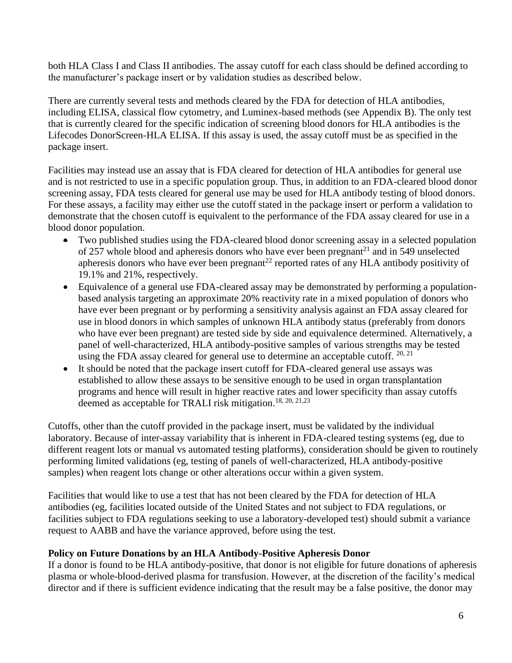both HLA Class I and Class II antibodies. The assay cutoff for each class should be defined according to the manufacturer's package insert or by validation studies as described below.

There are currently several tests and methods cleared by the FDA for detection of HLA antibodies, including ELISA, classical flow cytometry, and Luminex-based methods (see Appendix B). The only test that is currently cleared for the specific indication of screening blood donors for HLA antibodies is the Lifecodes DonorScreen-HLA ELISA. If this assay is used, the assay cutoff must be as specified in the package insert.

Facilities may instead use an assay that is FDA cleared for detection of HLA antibodies for general use and is not restricted to use in a specific population group. Thus, in addition to an FDA-cleared blood donor screening assay, FDA tests cleared for general use may be used for HLA antibody testing of blood donors. For these assays, a facility may either use the cutoff stated in the package insert or perform a validation to demonstrate that the chosen cutoff is equivalent to the performance of the FDA assay cleared for use in a blood donor population.

- Two published studies using the FDA-cleared blood donor screening assay in a selected population of 257 whole blood and apheresis donors who have ever been pregnant<sup>21</sup> and in 549 unselected apheresis donors who have ever been pregnant<sup>22</sup> reported rates of any HLA antibody positivity of 19.1% and 21%, respectively.
- Equivalence of a general use FDA-cleared assay may be demonstrated by performing a populationbased analysis targeting an approximate 20% reactivity rate in a mixed population of donors who have ever been pregnant or by performing a sensitivity analysis against an FDA assay cleared for use in blood donors in which samples of unknown HLA antibody status (preferably from donors who have ever been pregnant) are tested side by side and equivalence determined. Alternatively, a panel of well-characterized, HLA antibody-positive samples of various strengths may be tested using the FDA assay cleared for general use to determine an acceptable cutoff. 20, 21
- It should be noted that the package insert cutoff for FDA-cleared general use assays was established to allow these assays to be sensitive enough to be used in organ transplantation programs and hence will result in higher reactive rates and lower specificity than assay cutoffs deemed as acceptable for TRALI risk mitigation.<sup>18, 20, 21,23</sup>

Cutoffs, other than the cutoff provided in the package insert, must be validated by the individual laboratory. Because of inter-assay variability that is inherent in FDA-cleared testing systems (eg, due to different reagent lots or manual vs automated testing platforms), consideration should be given to routinely performing limited validations (eg, testing of panels of well-characterized, HLA antibody-positive samples) when reagent lots change or other alterations occur within a given system.

Facilities that would like to use a test that has not been cleared by the FDA for detection of HLA antibodies (eg, facilities located outside of the United States and not subject to FDA regulations, or facilities subject to FDA regulations seeking to use a laboratory-developed test) should submit a variance request to AABB and have the variance approved, before using the test.

## **Policy on Future Donations by an HLA Antibody-Positive Apheresis Donor**

If a donor is found to be HLA antibody-positive, that donor is not eligible for future donations of apheresis plasma or whole-blood-derived plasma for transfusion. However, at the discretion of the facility's medical director and if there is sufficient evidence indicating that the result may be a false positive, the donor may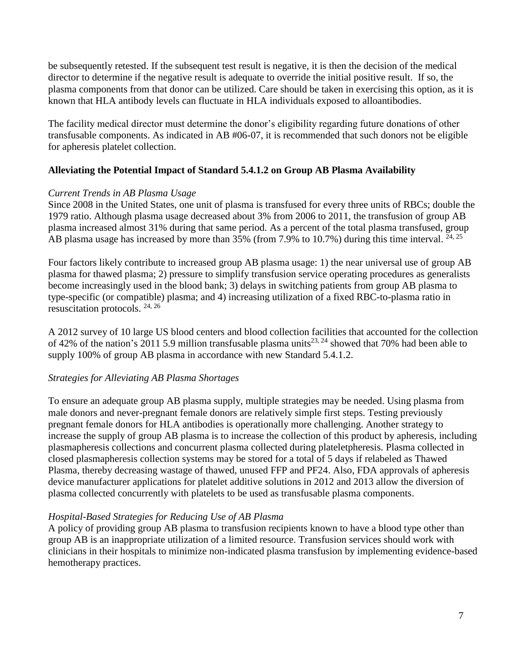be subsequently retested. If the subsequent test result is negative, it is then the decision of the medical director to determine if the negative result is adequate to override the initial positive result. If so, the plasma components from that donor can be utilized. Care should be taken in exercising this option, as it is known that HLA antibody levels can fluctuate in HLA individuals exposed to alloantibodies.

The facility medical director must determine the donor's eligibility regarding future donations of other transfusable components. As indicated in AB #06-07, it is recommended that such donors not be eligible for apheresis platelet collection.

## **Alleviating the Potential Impact of Standard 5.4.1.2 on Group AB Plasma Availability**

## *Current Trends in AB Plasma Usage*

Since 2008 in the United States, one unit of plasma is transfused for every three units of RBCs; double the 1979 ratio. Although plasma usage decreased about 3% from 2006 to 2011, the transfusion of group AB plasma increased almost 31% during that same period. As a percent of the total plasma transfused, group AB plasma usage has increased by more than  $35\%$  (from 7.9% to 10.7%) during this time interval.  $^{24,25}$ 

Four factors likely contribute to increased group AB plasma usage: 1) the near universal use of group AB plasma for thawed plasma; 2) pressure to simplify transfusion service operating procedures as generalists become increasingly used in the blood bank; 3) delays in switching patients from group AB plasma to type-specific (or compatible) plasma; and 4) increasing utilization of a fixed RBC-to-plasma ratio in resuscitation protocols. 24, 26

A 2012 survey of 10 large US blood centers and blood collection facilities that accounted for the collection of 42% of the nation's 2011 5.9 million transfusable plasma units<sup>23, 24</sup> showed that 70% had been able to supply 100% of group AB plasma in accordance with new Standard 5.4.1.2.

## *Strategies for Alleviating AB Plasma Shortages*

To ensure an adequate group AB plasma supply, multiple strategies may be needed. Using plasma from male donors and never-pregnant female donors are relatively simple first steps. Testing previously pregnant female donors for HLA antibodies is operationally more challenging. Another strategy to increase the supply of group AB plasma is to increase the collection of this product by apheresis, including plasmapheresis collections and concurrent plasma collected during plateletpheresis. Plasma collected in closed plasmapheresis collection systems may be stored for a total of 5 days if relabeled as Thawed Plasma, thereby decreasing wastage of thawed, unused FFP and PF24. Also, FDA approvals of apheresis device manufacturer applications for platelet additive solutions in 2012 and 2013 allow the diversion of plasma collected concurrently with platelets to be used as transfusable plasma components.

## *Hospital-Based Strategies for Reducing Use of AB Plasma*

A policy of providing group AB plasma to transfusion recipients known to have a blood type other than group AB is an inappropriate utilization of a limited resource. Transfusion services should work with clinicians in their hospitals to minimize non-indicated plasma transfusion by implementing evidence-based hemotherapy practices.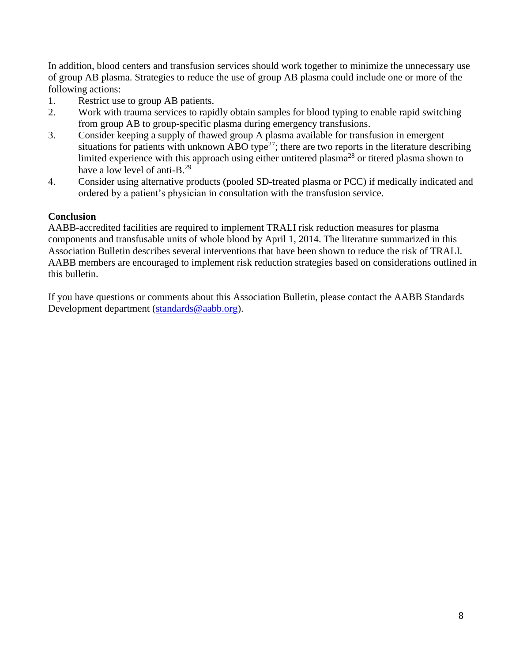In addition, blood centers and transfusion services should work together to minimize the unnecessary use of group AB plasma. Strategies to reduce the use of group AB plasma could include one or more of the following actions:

- 1. Restrict use to group AB patients.
- 2. Work with trauma services to rapidly obtain samples for blood typing to enable rapid switching from group AB to group-specific plasma during emergency transfusions.
- 3. Consider keeping a supply of thawed group A plasma available for transfusion in emergent situations for patients with unknown ABO type<sup>27</sup>; there are two reports in the literature describing limited experience with this approach using either untitered plasma<sup>28</sup> or titered plasma shown to have a low level of anti-B.<sup>29</sup>
- 4. Consider using alternative products (pooled SD-treated plasma or PCC) if medically indicated and ordered by a patient's physician in consultation with the transfusion service.

# **Conclusion**

AABB-accredited facilities are required to implement TRALI risk reduction measures for plasma components and transfusable units of whole blood by April 1, 2014. The literature summarized in this Association Bulletin describes several interventions that have been shown to reduce the risk of TRALI. AABB members are encouraged to implement risk reduction strategies based on considerations outlined in this bulletin.

If you have questions or comments about this Association Bulletin, please contact the AABB Standards Development department [\(standards@aabb.org\)](mailto:standards@aabb.org).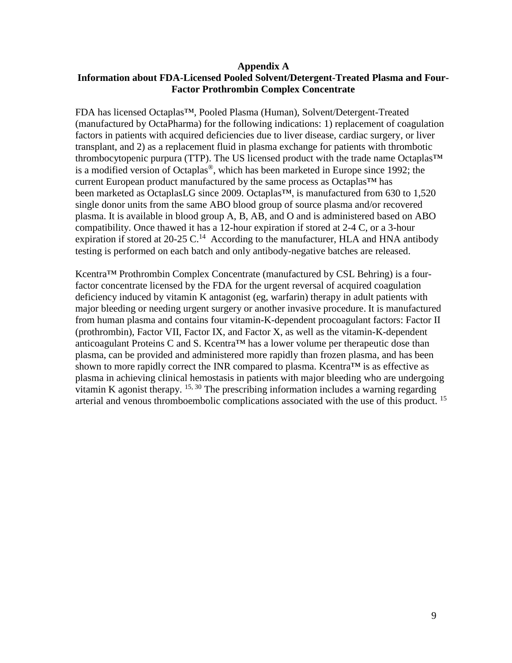#### **Appendix A Information about FDA-Licensed Pooled Solvent/Detergent-Treated Plasma and Four-Factor Prothrombin Complex Concentrate**

FDA has licensed Octaplas™, Pooled Plasma (Human), Solvent/Detergent-Treated (manufactured by OctaPharma) for the following indications: 1) replacement of coagulation factors in patients with acquired deficiencies due to liver disease, cardiac surgery, or liver transplant, and 2) as a replacement fluid in plasma exchange for patients with thrombotic thrombocytopenic purpura (TTP). The US licensed product with the trade name Octaplas™ is a modified version of Octaplas<sup>®</sup>, which has been marketed in Europe since 1992; the current European product manufactured by the same process as Octaplas™ has been marketed as OctaplasLG since 2009. Octaplas<sup>™</sup>, is manufactured from 630 to 1,520 single donor units from the same ABO blood group of source plasma and/or recovered plasma. It is available in blood group A, B, AB, and O and is administered based on ABO compatibility. Once thawed it has a 12-hour expiration if stored at 2-4 C, or a 3-hour expiration if stored at 20-25 C.<sup>14</sup> According to the manufacturer, HLA and HNA antibody testing is performed on each batch and only antibody-negative batches are released.

Kcentra<sup>™</sup> Prothrombin Complex Concentrate (manufactured by CSL Behring) is a fourfactor concentrate licensed by the FDA for the urgent reversal of acquired coagulation deficiency induced by vitamin K antagonist (eg, warfarin) therapy in adult patients with major bleeding or needing urgent surgery or another invasive procedure. It is manufactured from human plasma and contains four vitamin-K-dependent procoagulant factors: Factor II (prothrombin), Factor VII, Factor IX, and Factor X, as well as the vitamin-K-dependent anticoagulant Proteins C and S. Kcentra™ has a lower volume per therapeutic dose than plasma, can be provided and administered more rapidly than frozen plasma, and has been shown to more rapidly correct the INR compared to plasma. Kcentra™ is as effective as plasma in achieving clinical hemostasis in patients with major bleeding who are undergoing vitamin K agonist therapy.  $15, 30$  The prescribing information includes a warning regarding arterial and venous thromboembolic complications associated with the use of this product. <sup>15</sup>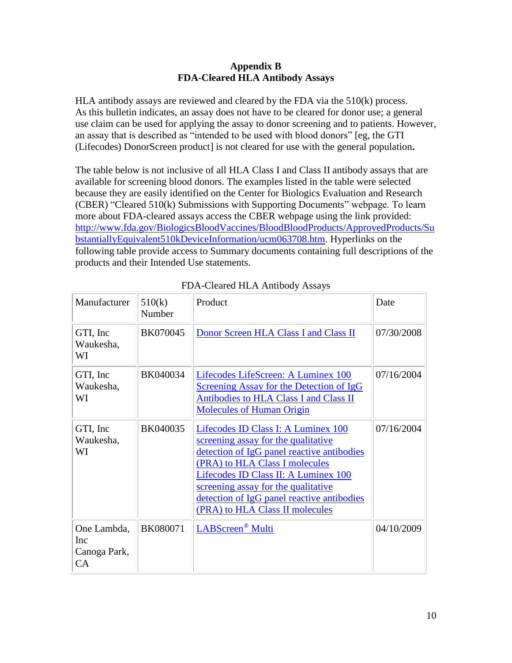#### **Appendix B FDA-Cleared HLA Antibody Assays**

HLA antibody assays are reviewed and cleared by the FDA via the 510(k) process. As this bulletin indicates, an assay does not have to be cleared for donor use; a general use claim can be used for applying the assay to donor screening and to patients. However, an assay that is described as "intended to be used with blood donors" [eg, the GTI (Lifecodes) DonorScreen product] is not cleared for use with the general population**.** 

The table below is not inclusive of all HLA Class I and Class II antibody assays that are available for screening blood donors. The examples listed in the table were selected because they are easily identified on the Center for Biologics Evaluation and Research (CBER) "Cleared 510(k) Submissions with Supporting Documents" webpage. To learn more about FDA-cleared assays access the CBER webpage using the link provided: [http://www.fda.gov/BiologicsBloodVaccines/BloodBloodProducts/ApprovedProducts/Su](http://www.fda.gov/BiologicsBloodVaccines/BloodBloodProducts/ApprovedProducts/SubstantiallyEquivalent510kDeviceInformation/ucm063708.htm) [bstantiallyEquivalent510kDeviceInformation/ucm063708.htm.](http://www.fda.gov/BiologicsBloodVaccines/BloodBloodProducts/ApprovedProducts/SubstantiallyEquivalent510kDeviceInformation/ucm063708.htm) Hyperlinks on the following table provide access to Summary documents containing full descriptions of the products and their Intended Use statements.

| Manufacturer                             | 510(k)<br>Number | Product                                                                                                                                                                                                                                                                                                                    | Date       |
|------------------------------------------|------------------|----------------------------------------------------------------------------------------------------------------------------------------------------------------------------------------------------------------------------------------------------------------------------------------------------------------------------|------------|
| GTI, Inc<br>Waukesha,<br>WI              | BK070045         | Donor Screen HLA Class I and Class II                                                                                                                                                                                                                                                                                      | 07/30/2008 |
| GTI, Inc<br>Waukesha,<br>WI              | BK040034         | Lifecodes LifeScreen: A Luminex 100<br><b>Screening Assay for the Detection of IgG</b><br>Antibodies to HLA Class I and Class II<br><b>Molecules of Human Origin</b>                                                                                                                                                       | 07/16/2004 |
| GTI, Inc<br>Waukesha,<br>WI              | BK040035         | Lifecodes ID Class I: A Luminex 100<br>screening assay for the qualitative<br>detection of IgG panel reactive antibodies<br>(PRA) to HLA Class I molecules<br>Lifecodes ID Class II: A Luminex 100<br>screening assay for the qualitative<br>detection of IgG panel reactive antibodies<br>(PRA) to HLA Class II molecules | 07/16/2004 |
| One Lambda,<br>Inc<br>Canoga Park,<br>CA | BK080071         | LABScreen <sup>®</sup> Multi                                                                                                                                                                                                                                                                                               | 04/10/2009 |

FDA-Cleared HLA Antibody Assays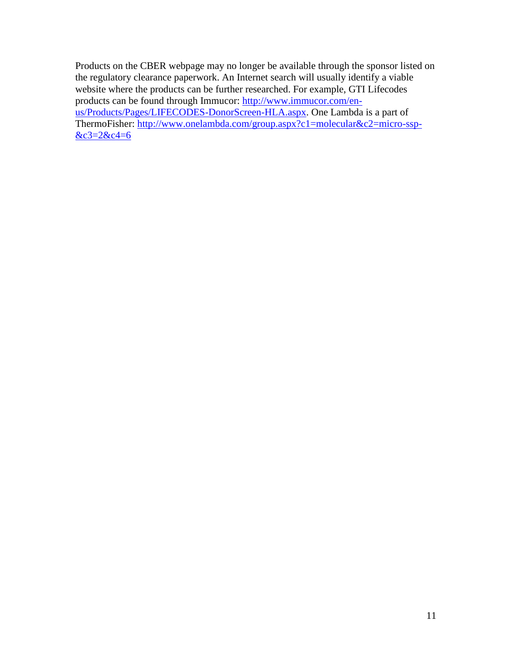Products on the CBER webpage may no longer be available through the sponsor listed on the regulatory clearance paperwork. An Internet search will usually identify a viable website where the products can be further researched. For example, GTI Lifecodes products can be found through Immucor: [http://www.immucor.com/en](http://www.immucor.com/en-us/Products/Pages/LIFECODES-DonorScreen-HLA.aspx)[us/Products/Pages/LIFECODES-DonorScreen-HLA.aspx.](http://www.immucor.com/en-us/Products/Pages/LIFECODES-DonorScreen-HLA.aspx) One Lambda is a part of ThermoFisher: [http://www.onelambda.com/group.aspx?c1=molecular&c2=micro-ssp-](http://www.onelambda.com/en/home.html)  $&c3=2&c4=6$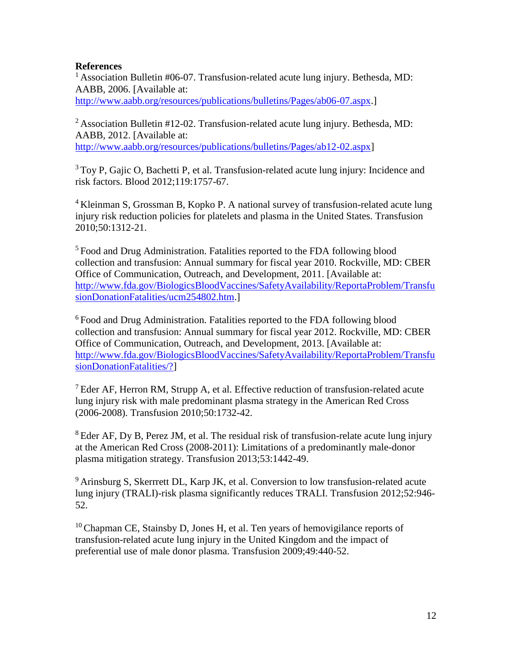#### **References**

<sup>1</sup> Association Bulletin #06-07. Transfusion-related acute lung injury. Bethesda, MD: AABB, 2006. [Available at: [http://www.aabb.org/resources/publications/bulletins/Pages/ab06-07.aspx.](http://www.aabb.org/programs/publications/bulletins/Pages/ab06-07.aspx)]

<sup>2</sup> Association Bulletin #12-02. Transfusion-related acute lung injury. Bethesda, MD: AABB, 2012. [Available at: [http://www.aabb.org/resources/publications/bulletins/Pages/ab12-02.aspx\]](http://www.aabb.org/programs/publications/bulletins/Pages/ab12-02.aspx)

 $3$ Toy P, Gajic O, Bachetti P, et al. Transfusion-related acute lung injury: Incidence and risk factors. Blood 2012;119:1757-67.

<sup>4</sup> Kleinman S, Grossman B, Kopko P. A national survey of transfusion-related acute lung injury risk reduction policies for platelets and plasma in the United States. Transfusion 2010;50:1312-21.

<sup>5</sup> Food and Drug Administration. Fatalities reported to the FDA following blood collection and transfusion: Annual summary for fiscal year 2010. Rockville, MD: CBER Office of Communication, Outreach, and Development, 2011. [Available at: [http://www.fda.gov/BiologicsBloodVaccines/SafetyAvailability/ReportaProblem/Transfu](http://www.fda.gov/BiologicsBloodVaccines/SafetyAvailability/ReportaProblem/TransfusionDonationFatalities/ucm254802.htm) [sionDonationFatalities/ucm254802.htm.](http://www.fda.gov/BiologicsBloodVaccines/SafetyAvailability/ReportaProblem/TransfusionDonationFatalities/ucm254802.htm)]

 $6$  Food and Drug Administration. Fatalities reported to the FDA following blood collection and transfusion: Annual summary for fiscal year 2012. Rockville, MD: CBER Office of Communication, Outreach, and Development, 2013. [Available at: [http://www.fda.gov/BiologicsBloodVaccines/SafetyAvailability/ReportaProblem/Transfu](http://www.fda.gov/BiologicsBloodVaccines/SafetyAvailability/ReportaProblem/TransfusionDonationFatalities/?) [sionDonationFatalities/?\]](http://www.fda.gov/BiologicsBloodVaccines/SafetyAvailability/ReportaProblem/TransfusionDonationFatalities/?)

 $<sup>7</sup>$  Eder AF, Herron RM, Strupp A, et al. Effective reduction of transfusion-related acute</sup> lung injury risk with male predominant plasma strategy in the American Red Cross (2006-2008). Transfusion 2010;50:1732-42.

 $8E$ der AF, Dy B, Perez JM, et al. The residual risk of transfusion-relate acute lung injury at the American Red Cross (2008-2011): Limitations of a predominantly male-donor plasma mitigation strategy. Transfusion 2013;53:1442-49.

<sup>9</sup> Arinsburg S, Skerrrett DL, Karp JK, et al. Conversion to low transfusion-related acute lung injury (TRALI)-risk plasma significantly reduces TRALI. Transfusion 2012;52:946- 52.

<sup>10</sup>Chapman CE, Stainsby D, Jones H, et al. Ten years of hemovigilance reports of transfusion-related acute lung injury in the United Kingdom and the impact of preferential use of male donor plasma. Transfusion 2009;49:440-52.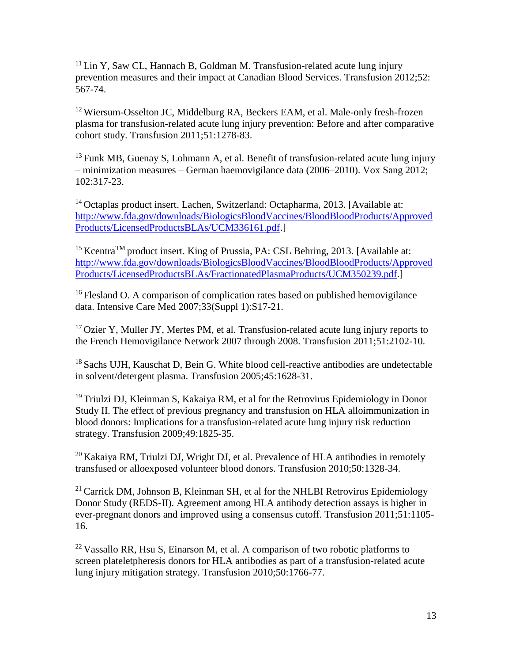$11$  Lin Y, Saw CL, Hannach B, Goldman M. Transfusion-related acute lung injury prevention measures and their impact at Canadian Blood Services. Transfusion 2012;52: 567-74.

<sup>12</sup>Wiersum-Osselton JC, Middelburg RA, Beckers EAM, et al. Male-only fresh-frozen plasma for transfusion-related acute lung injury prevention: Before and after comparative cohort study. Transfusion 2011;51:1278-83.

 $13$  Funk MB, Guenay S, Lohmann A, et al. Benefit of transfusion-related acute lung injury – minimization measures – German haemovigilance data (2006–2010). Vox Sang 2012; 102:317-23.

<sup>14</sup> Octaplas product insert. Lachen, Switzerland: Octapharma, 2013. [Available at: [http://www.fda.gov/downloads/BiologicsBloodVaccines/BloodBloodProducts/Approved](http://www.fda.gov/downloads/BiologicsBloodVaccines/BloodBloodProducts/ApprovedProducts/LicensedProductsBLAs/UCM336161.pdf) [Products/LicensedProductsBLAs/UCM336161.pdf.](http://www.fda.gov/downloads/BiologicsBloodVaccines/BloodBloodProducts/ApprovedProducts/LicensedProductsBLAs/UCM336161.pdf)]

<sup>15</sup> Kcentra<sup>TM</sup> product insert. King of Prussia, PA: CSL Behring, 2013. [Available at: [http://www.fda.gov/downloads/BiologicsBloodVaccines/BloodBloodProducts/Approved](http://www.fda.gov/downloads/BiologicsBloodVaccines/BloodBloodProducts/ApprovedProducts/LicensedProductsBLAs/FractionatedPlasmaProducts/UCM350239.pdf) [Products/LicensedProductsBLAs/FractionatedPlasmaProducts/UCM350239.pdf.](http://www.fda.gov/downloads/BiologicsBloodVaccines/BloodBloodProducts/ApprovedProducts/LicensedProductsBLAs/FractionatedPlasmaProducts/UCM350239.pdf)]

<sup>16</sup> Flesland O. A comparison of complication rates based on published hemovigilance data. Intensive Care Med 2007;33(Suppl 1):S17-21.

 $17$  Ozier Y, Muller JY, Mertes PM, et al. Transfusion-related acute lung injury reports to the French Hemovigilance Network 2007 through 2008. Transfusion 2011;51:2102-10.

<sup>18</sup> Sachs UJH, Kauschat D, Bein G. White blood cell-reactive antibodies are undetectable in solvent/detergent plasma. Transfusion 2005;45:1628-31.

<sup>19</sup> Triulzi DJ, Kleinman S, Kakaiya RM, et al for the Retrovirus Epidemiology in Donor Study II. The effect of previous pregnancy and transfusion on HLA alloimmunization in blood donors: Implications for a transfusion-related acute lung injury risk reduction strategy. Transfusion 2009;49:1825-35.

 $^{20}$ Kakaiya RM, Triulzi DJ, Wright DJ, et al. Prevalence of HLA antibodies in remotely transfused or alloexposed volunteer blood donors. Transfusion 2010;50:1328-34.

<sup>21</sup> Carrick DM, Johnson B, Kleinman SH, et al for the NHLBI Retrovirus Epidemiology Donor Study (REDS-II). Agreement among HLA antibody detection assays is higher in ever-pregnant donors and improved using a consensus cutoff. Transfusion 2011;51:1105- 16.

 $^{22}$  Vassallo RR, Hsu S, Einarson M, et al. A comparison of two robotic platforms to screen plateletpheresis donors for HLA antibodies as part of a transfusion-related acute lung injury mitigation strategy. Transfusion 2010;50:1766-77.